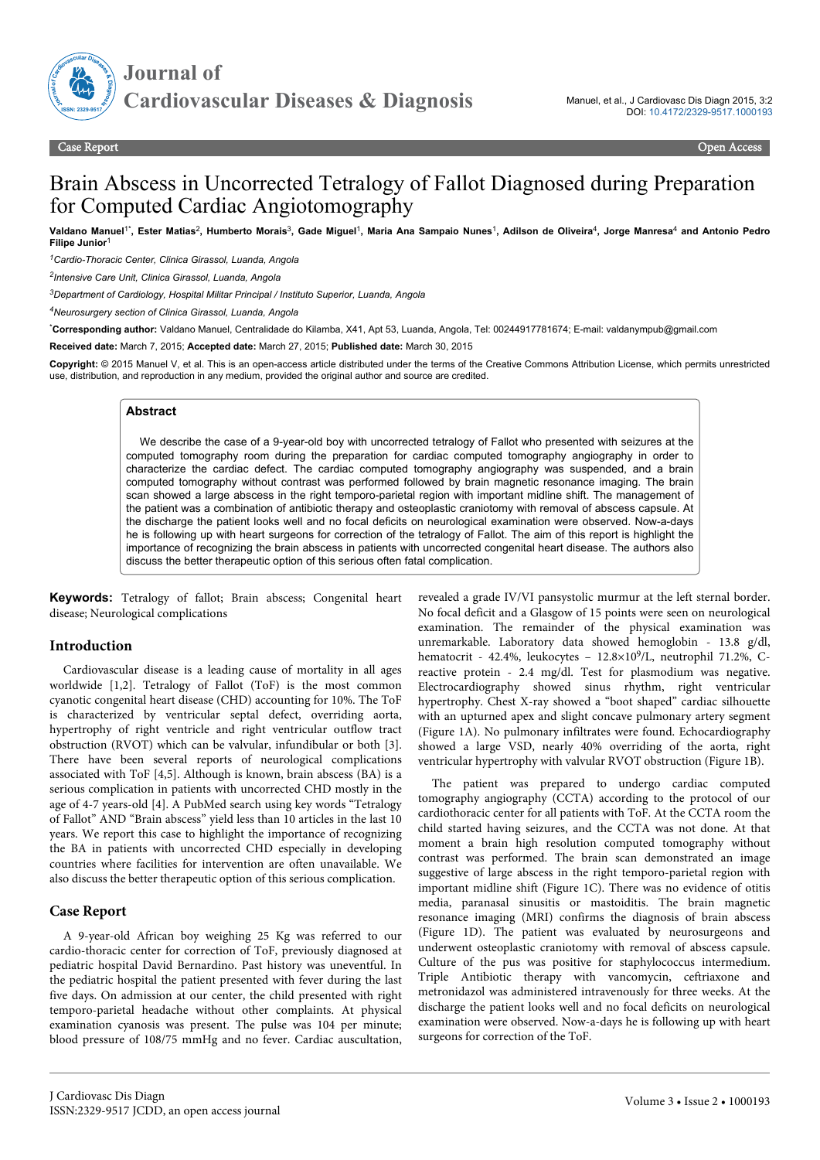

# Brain Abscess in Uncorrected Tetralogy of Fallot Diagnosed during Preparation for Computed Cardiac Angiotomography

**Valdano Manuel**1\* **, Ester Matias**<sup>2</sup> **, Humberto Morais**<sup>3</sup> **, Gade Miguel**<sup>1</sup> **, Maria Ana Sampaio Nunes**<sup>1</sup> **, Adilson de Oliveira**<sup>4</sup> **, Jorge Manresa**<sup>4</sup>  **and Antonio Pedro Filipe Junior** 

*<sup>1</sup>Cardio-Thoracic Center, Clinica Girassol, Luanda, Angola*

*2 Intensive Care Unit, Clinica Girassol, Luanda, Angola*

*<sup>3</sup>Department of Cardiology, Hospital Militar Principal / Instituto Superior, Luanda, Angola*

*<sup>4</sup>Neurosurgery section of Clinica Girassol, Luanda, Angola*

\***Corresponding author:** Valdano Manuel, Centralidade do Kilamba, X41, Apt 53, Luanda, Angola, Tel: 00244917781674; E-mail: valdanympub@gmail.com

**Received date:** March 7, 2015; **Accepted date:** March 27, 2015; **Published date:** March 30, 2015

**Copyright:** © 2015 Manuel V, et al. This is an open-access article distributed under the terms of the Creative Commons Attribution License, which permits unrestricted use, distribution, and reproduction in any medium, provided the original author and source are credited.

#### **Abstract**

We describe the case of a 9-year-old boy with uncorrected tetralogy of Fallot who presented with seizures at the computed tomography room during the preparation for cardiac computed tomography angiography in order to characterize the cardiac defect. The cardiac computed tomography angiography was suspended, and a brain computed tomography without contrast was performed followed by brain magnetic resonance imaging. The brain scan showed a large abscess in the right temporo-parietal region with important midline shift. The management of the patient was a combination of antibiotic therapy and osteoplastic craniotomy with removal of abscess capsule. At the discharge the patient looks well and no focal deficits on neurological examination were observed. Now-a-days he is following up with heart surgeons for correction of the tetralogy of Fallot. The aim of this report is highlight the importance of recognizing the brain abscess in patients with uncorrected congenital heart disease. The authors also discuss the better therapeutic option of this serious often fatal complication.

**Keywords:** Tetralogy of fallot; Brain abscess; Congenital heart disease; Neurological complications

#### **Introduction**

Cardiovascular disease is a leading cause of mortality in all ages worldwide [1,2]. Tetralogy of Fallot (ToF) is the most common cyanotic congenital heart disease (CHD) accounting for 10%. The ToF is characterized by ventricular septal defect, overriding aorta, hypertrophy of right ventricle and right ventricular outflow tract obstruction (RVOT) which can be valvular, infundibular or both [3]. There have been several reports of neurological complications associated with ToF [4,5]. Although is known, brain abscess (BA) is a serious complication in patients with uncorrected CHD mostly in the age of 4-7 years-old [4]. A PubMed search using key words "Tetralogy of Fallot" AND "Brain abscess" yield less than 10 articles in the last 10 years. We report this case to highlight the importance of recognizing the BA in patients with uncorrected CHD especially in developing countries where facilities for intervention are often unavailable. We also discuss the better therapeutic option of this serious complication.

### **Case Report**

A 9-year-old African boy weighing 25 Kg was referred to our cardio-thoracic center for correction of ToF, previously diagnosed at pediatric hospital David Bernardino. Past history was uneventful. In the pediatric hospital the patient presented with fever during the last five days. On admission at our center, the child presented with right temporo-parietal headache without other complaints. At physical examination cyanosis was present. The pulse was 104 per minute; blood pressure of 108/75 mmHg and no fever. Cardiac auscultation,

revealed a grade IV/VI pansystolic murmur at the left sternal border. No focal deficit and a Glasgow of 15 points were seen on neurological examination. The remainder of the physical examination was unremarkable. Laboratory data showed hemoglobin - 13.8 g/dl, hematocrit - 42.4%, leukocytes - 12.8×10<sup>9</sup>/L, neutrophil 71.2%, Creactive protein - 2.4 mg/dl. Test for plasmodium was negative. Electrocardiography showed sinus rhythm, right ventricular hypertrophy. Chest X-ray showed a "boot shaped" cardiac silhouette with an upturned apex and slight concave pulmonary artery segment (Figure 1A). No pulmonary infiltrates were found. Echocardiography showed a large VSD, nearly 40% overriding of the aorta, right ventricular hypertrophy with valvular RVOT obstruction (Figure 1B).

The patient was prepared to undergo cardiac computed tomography angiography (CCTA) according to the protocol of our cardiothoracic center for all patients with ToF. At the CCTA room the child started having seizures, and the CCTA was not done. At that moment a brain high resolution computed tomography without contrast was performed. The brain scan demonstrated an image suggestive of large abscess in the right temporo-parietal region with important midline shift (Figure 1C). There was no evidence of otitis media, paranasal sinusitis or mastoiditis. The brain magnetic resonance imaging (MRI) confirms the diagnosis of brain abscess (Figure 1D). The patient was evaluated by neurosurgeons and underwent osteoplastic craniotomy with removal of abscess capsule. Culture of the pus was positive for staphylococcus intermedium. Triple Antibiotic therapy with vancomycin, ceftriaxone and metronidazol was administered intravenously for three weeks. At the discharge the patient looks well and no focal deficits on neurological examination were observed. Now-a-days he is following up with heart surgeons for correction of the ToF.